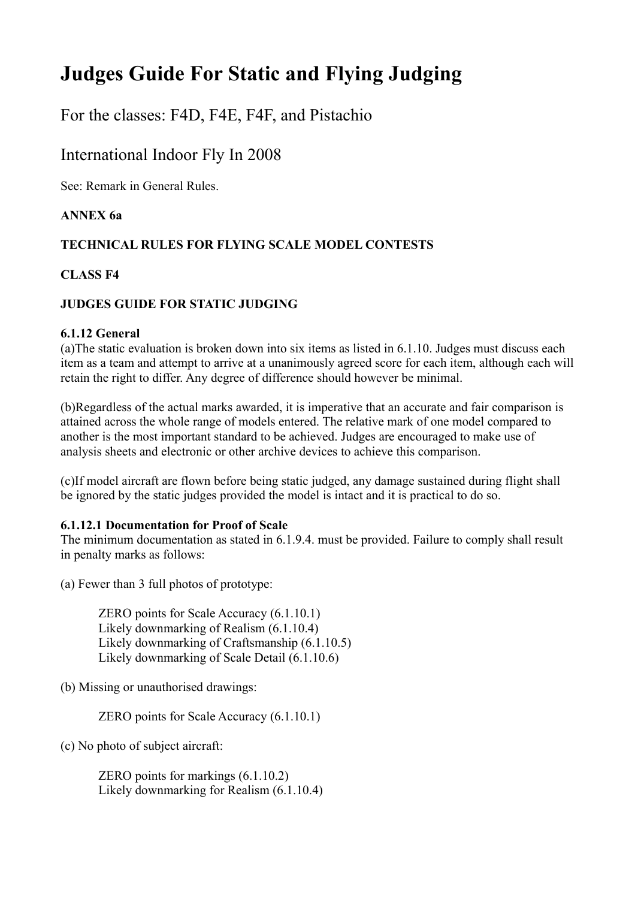# **Judges Guide For Static and Flying Judging**

For the classes: F4D, F4E, F4F, and Pistachio

# International Indoor Fly In 2008

See: Remark in General Rules.

# **ANNEX 6a**

# **TECHNICAL RULES FOR FLYING SCALE MODEL CONTESTS**

# **CLASS F4**

# **JUDGES GUIDE FOR STATIC JUDGING**

# **6.1.12 General**

(a)The static evaluation is broken down into six items as listed in 6.1.10. Judges must discuss each item as a team and attempt to arrive at a unanimously agreed score for each item, although each will retain the right to differ. Any degree of difference should however be minimal.

(b)Regardless of the actual marks awarded, it is imperative that an accurate and fair comparison is attained across the whole range of models entered. The relative mark of one model compared to another is the most important standard to be achieved. Judges are encouraged to make use of analysis sheets and electronic or other archive devices to achieve this comparison.

(c)If model aircraft are flown before being static judged, any damage sustained during flight shall be ignored by the static judges provided the model is intact and it is practical to do so.

# **6.1.12.1 Documentation for Proof of Scale**

The minimum documentation as stated in 6.1.9.4. must be provided. Failure to comply shall result in penalty marks as follows:

(a) Fewer than 3 full photos of prototype:

ZERO points for Scale Accuracy (6.1.10.1) Likely downmarking of Realism (6.1.10.4) Likely downmarking of Craftsmanship (6.1.10.5) Likely downmarking of Scale Detail (6.1.10.6)

(b) Missing or unauthorised drawings:

ZERO points for Scale Accuracy (6.1.10.1)

(c) No photo of subject aircraft:

ZERO points for markings (6.1.10.2) Likely downmarking for Realism (6.1.10.4)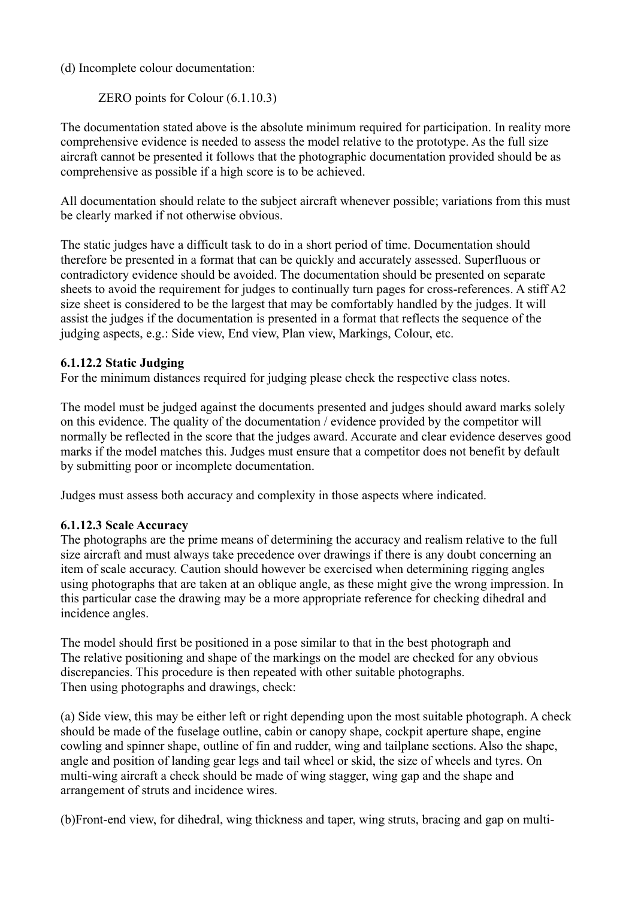# (d) Incomplete colour documentation:

ZERO points for Colour (6.1.10.3)

The documentation stated above is the absolute minimum required for participation. In reality more comprehensive evidence is needed to assess the model relative to the prototype. As the full size aircraft cannot be presented it follows that the photographic documentation provided should be as comprehensive as possible if a high score is to be achieved.

All documentation should relate to the subject aircraft whenever possible; variations from this must be clearly marked if not otherwise obvious.

The static judges have a difficult task to do in a short period of time. Documentation should therefore be presented in a format that can be quickly and accurately assessed. Superfluous or contradictory evidence should be avoided. The documentation should be presented on separate sheets to avoid the requirement for judges to continually turn pages for cross-references. A stiff A2 size sheet is considered to be the largest that may be comfortably handled by the judges. It will assist the judges if the documentation is presented in a format that reflects the sequence of the judging aspects, e.g.: Side view, End view, Plan view, Markings, Colour, etc.

# **6.1.12.2 Static Judging**

For the minimum distances required for judging please check the respective class notes.

The model must be judged against the documents presented and judges should award marks solely on this evidence. The quality of the documentation / evidence provided by the competitor will normally be reflected in the score that the judges award. Accurate and clear evidence deserves good marks if the model matches this. Judges must ensure that a competitor does not benefit by default by submitting poor or incomplete documentation.

Judges must assess both accuracy and complexity in those aspects where indicated.

# **6.1.12.3 Scale Accuracy**

The photographs are the prime means of determining the accuracy and realism relative to the full size aircraft and must always take precedence over drawings if there is any doubt concerning an item of scale accuracy. Caution should however be exercised when determining rigging angles using photographs that are taken at an oblique angle, as these might give the wrong impression. In this particular case the drawing may be a more appropriate reference for checking dihedral and incidence angles.

The model should first be positioned in a pose similar to that in the best photograph and The relative positioning and shape of the markings on the model are checked for any obvious discrepancies. This procedure is then repeated with other suitable photographs. Then using photographs and drawings, check:

(a) Side view, this may be either left or right depending upon the most suitable photograph. A check should be made of the fuselage outline, cabin or canopy shape, cockpit aperture shape, engine cowling and spinner shape, outline of fin and rudder, wing and tailplane sections. Also the shape, angle and position of landing gear legs and tail wheel or skid, the size of wheels and tyres. On multi-wing aircraft a check should be made of wing stagger, wing gap and the shape and arrangement of struts and incidence wires.

(b)Front-end view, for dihedral, wing thickness and taper, wing struts, bracing and gap on multi-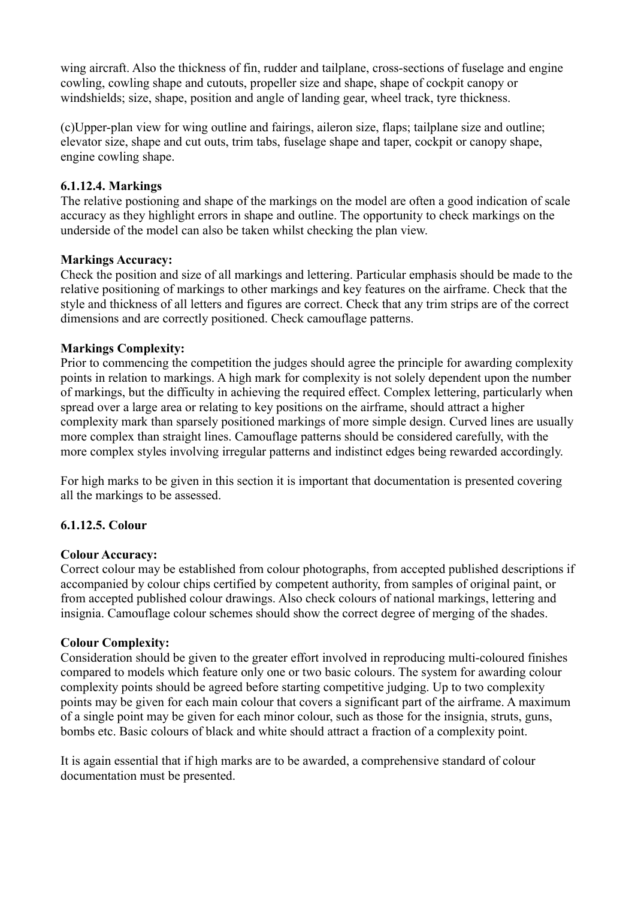wing aircraft. Also the thickness of fin, rudder and tailplane, cross-sections of fuselage and engine cowling, cowling shape and cutouts, propeller size and shape, shape of cockpit canopy or windshields; size, shape, position and angle of landing gear, wheel track, tyre thickness.

(c)Upper-plan view for wing outline and fairings, aileron size, flaps; tailplane size and outline; elevator size, shape and cut outs, trim tabs, fuselage shape and taper, cockpit or canopy shape, engine cowling shape.

# **6.1.12.4. Markings**

The relative postioning and shape of the markings on the model are often a good indication of scale accuracy as they highlight errors in shape and outline. The opportunity to check markings on the underside of the model can also be taken whilst checking the plan view.

# **Markings Accuracy:**

Check the position and size of all markings and lettering. Particular emphasis should be made to the relative positioning of markings to other markings and key features on the airframe. Check that the style and thickness of all letters and figures are correct. Check that any trim strips are of the correct dimensions and are correctly positioned. Check camouflage patterns.

# **Markings Complexity:**

Prior to commencing the competition the judges should agree the principle for awarding complexity points in relation to markings. A high mark for complexity is not solely dependent upon the number of markings, but the difficulty in achieving the required effect. Complex lettering, particularly when spread over a large area or relating to key positions on the airframe, should attract a higher complexity mark than sparsely positioned markings of more simple design. Curved lines are usually more complex than straight lines. Camouflage patterns should be considered carefully, with the more complex styles involving irregular patterns and indistinct edges being rewarded accordingly.

For high marks to be given in this section it is important that documentation is presented covering all the markings to be assessed.

# **6.1.12.5. Colour**

# **Colour Accuracy:**

Correct colour may be established from colour photographs, from accepted published descriptions if accompanied by colour chips certified by competent authority, from samples of original paint, or from accepted published colour drawings. Also check colours of national markings, lettering and insignia. Camouflage colour schemes should show the correct degree of merging of the shades.

# **Colour Complexity:**

Consideration should be given to the greater effort involved in reproducing multi-coloured finishes compared to models which feature only one or two basic colours. The system for awarding colour complexity points should be agreed before starting competitive judging. Up to two complexity points may be given for each main colour that covers a significant part of the airframe. A maximum of a single point may be given for each minor colour, such as those for the insignia, struts, guns, bombs etc. Basic colours of black and white should attract a fraction of a complexity point.

It is again essential that if high marks are to be awarded, a comprehensive standard of colour documentation must be presented.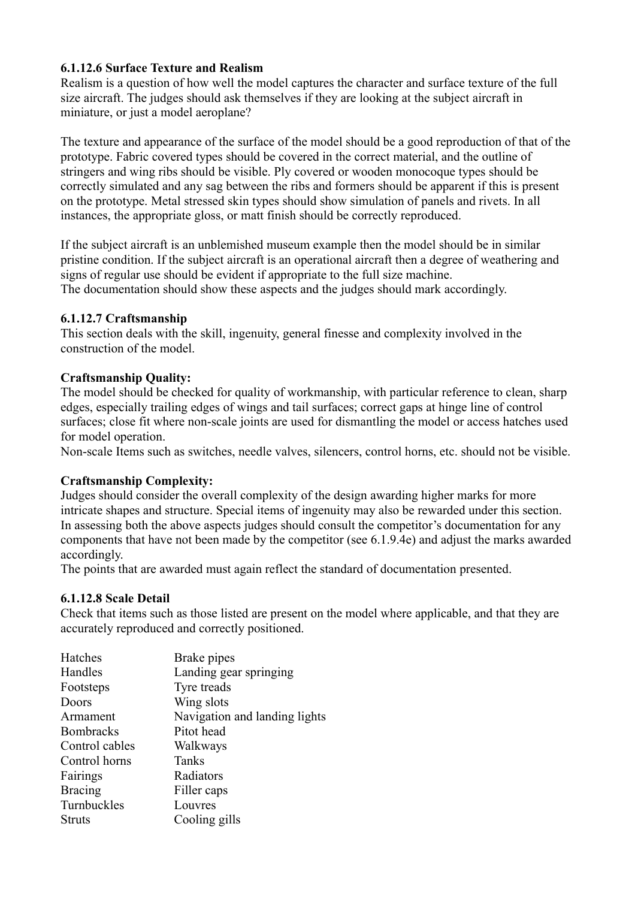# **6.1.12.6 Surface Texture and Realism**

Realism is a question of how well the model captures the character and surface texture of the full size aircraft. The judges should ask themselves if they are looking at the subject aircraft in miniature, or just a model aeroplane?

The texture and appearance of the surface of the model should be a good reproduction of that of the prototype. Fabric covered types should be covered in the correct material, and the outline of stringers and wing ribs should be visible. Ply covered or wooden monocoque types should be correctly simulated and any sag between the ribs and formers should be apparent if this is present on the prototype. Metal stressed skin types should show simulation of panels and rivets. In all instances, the appropriate gloss, or matt finish should be correctly reproduced.

If the subject aircraft is an unblemished museum example then the model should be in similar pristine condition. If the subject aircraft is an operational aircraft then a degree of weathering and signs of regular use should be evident if appropriate to the full size machine. The documentation should show these aspects and the judges should mark accordingly.

# **6.1.12.7 Craftsmanship**

This section deals with the skill, ingenuity, general finesse and complexity involved in the construction of the model.

# **Craftsmanship Quality:**

The model should be checked for quality of workmanship, with particular reference to clean, sharp edges, especially trailing edges of wings and tail surfaces; correct gaps at hinge line of control surfaces; close fit where non-scale joints are used for dismantling the model or access hatches used for model operation.

Non-scale Items such as switches, needle valves, silencers, control horns, etc. should not be visible.

# **Craftsmanship Complexity:**

Judges should consider the overall complexity of the design awarding higher marks for more intricate shapes and structure. Special items of ingenuity may also be rewarded under this section. In assessing both the above aspects judges should consult the competitor's documentation for any components that have not been made by the competitor (see 6.1.9.4e) and adjust the marks awarded accordingly.

The points that are awarded must again reflect the standard of documentation presented.

# **6.1.12.8 Scale Detail**

Check that items such as those listed are present on the model where applicable, and that they are accurately reproduced and correctly positioned.

| Brake pipes                   |
|-------------------------------|
| Landing gear springing        |
| Tyre treads                   |
| Wing slots                    |
| Navigation and landing lights |
| Pitot head                    |
| Walkways                      |
| <b>Tanks</b>                  |
| Radiators                     |
| Filler caps                   |
| Louvres                       |
| Cooling gills                 |
|                               |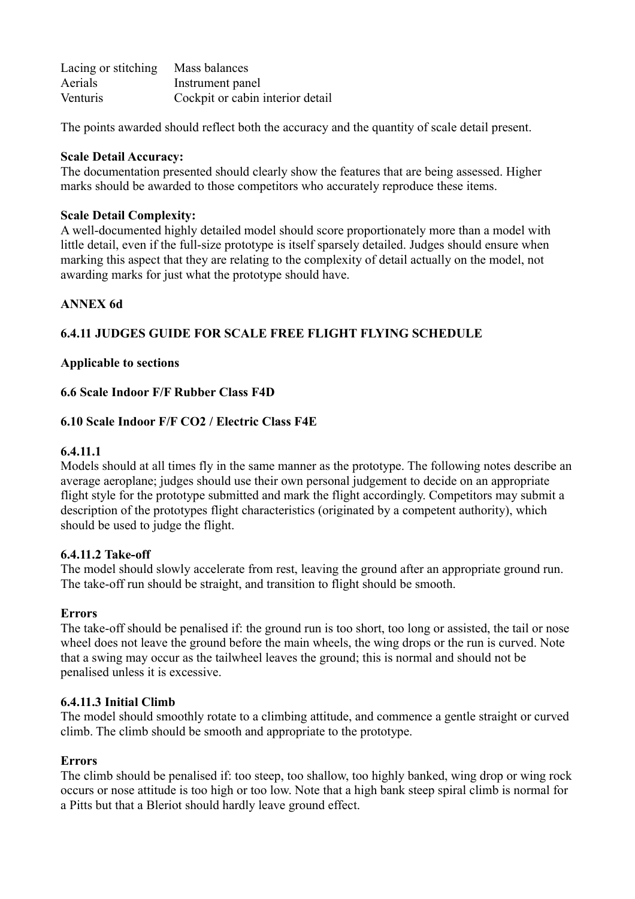| Lacing or stitching | Mass balances                    |
|---------------------|----------------------------------|
| Aerials             | Instrument panel                 |
| Venturis            | Cockpit or cabin interior detail |

The points awarded should reflect both the accuracy and the quantity of scale detail present.

# **Scale Detail Accuracy:**

The documentation presented should clearly show the features that are being assessed. Higher marks should be awarded to those competitors who accurately reproduce these items.

#### **Scale Detail Complexity:**

A well-documented highly detailed model should score proportionately more than a model with little detail, even if the full-size prototype is itself sparsely detailed. Judges should ensure when marking this aspect that they are relating to the complexity of detail actually on the model, not awarding marks for just what the prototype should have.

# **ANNEX 6d**

# **6.4.11 JUDGES GUIDE FOR SCALE FREE FLIGHT FLYING SCHEDULE**

# **Applicable to sections**

# **6.6 Scale Indoor F/F Rubber Class F4D**

# **6.10 Scale Indoor F/F CO2 / Electric Class F4E**

#### **6.4.11.1**

Models should at all times fly in the same manner as the prototype. The following notes describe an average aeroplane; judges should use their own personal judgement to decide on an appropriate flight style for the prototype submitted and mark the flight accordingly. Competitors may submit a description of the prototypes flight characteristics (originated by a competent authority), which should be used to judge the flight.

#### **6.4.11.2 Take-off**

The model should slowly accelerate from rest, leaving the ground after an appropriate ground run. The take-off run should be straight, and transition to flight should be smooth.

#### **Errors**

The take-off should be penalised if: the ground run is too short, too long or assisted, the tail or nose wheel does not leave the ground before the main wheels, the wing drops or the run is curved. Note that a swing may occur as the tailwheel leaves the ground; this is normal and should not be penalised unless it is excessive.

# **6.4.11.3 Initial Climb**

The model should smoothly rotate to a climbing attitude, and commence a gentle straight or curved climb. The climb should be smooth and appropriate to the prototype.

#### **Errors**

The climb should be penalised if: too steep, too shallow, too highly banked, wing drop or wing rock occurs or nose attitude is too high or too low. Note that a high bank steep spiral climb is normal for a Pitts but that a Bleriot should hardly leave ground effect.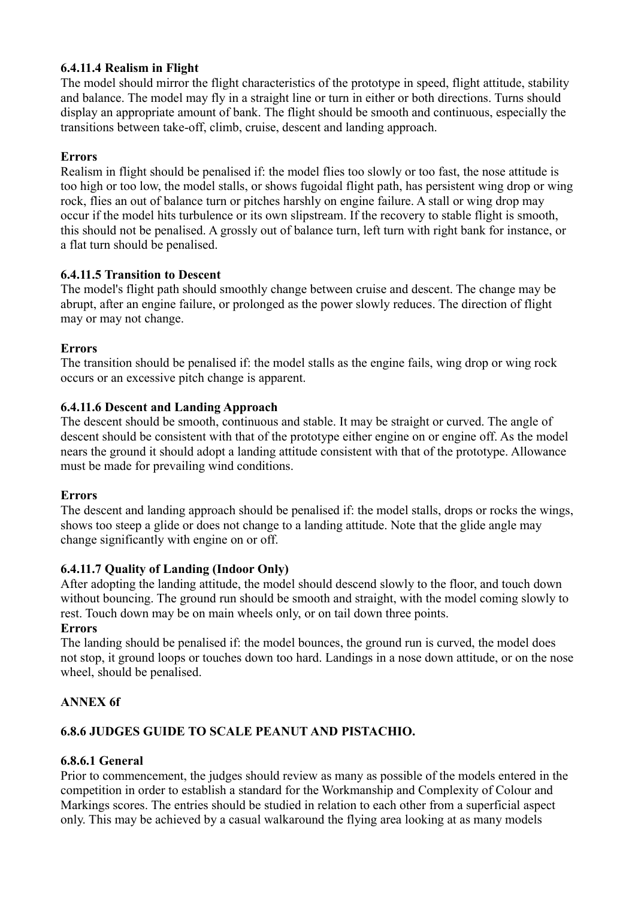# **6.4.11.4 Realism in Flight**

The model should mirror the flight characteristics of the prototype in speed, flight attitude, stability and balance. The model may fly in a straight line or turn in either or both directions. Turns should display an appropriate amount of bank. The flight should be smooth and continuous, especially the transitions between take-off, climb, cruise, descent and landing approach.

# **Errors**

Realism in flight should be penalised if: the model flies too slowly or too fast, the nose attitude is too high or too low, the model stalls, or shows fugoidal flight path, has persistent wing drop or wing rock, flies an out of balance turn or pitches harshly on engine failure. A stall or wing drop may occur if the model hits turbulence or its own slipstream. If the recovery to stable flight is smooth, this should not be penalised. A grossly out of balance turn, left turn with right bank for instance, or a flat turn should be penalised.

# **6.4.11.5 Transition to Descent**

The model's flight path should smoothly change between cruise and descent. The change may be abrupt, after an engine failure, or prolonged as the power slowly reduces. The direction of flight may or may not change.

# **Errors**

The transition should be penalised if: the model stalls as the engine fails, wing drop or wing rock occurs or an excessive pitch change is apparent.

# **6.4.11.6 Descent and Landing Approach**

The descent should be smooth, continuous and stable. It may be straight or curved. The angle of descent should be consistent with that of the prototype either engine on or engine off. As the model nears the ground it should adopt a landing attitude consistent with that of the prototype. Allowance must be made for prevailing wind conditions.

# **Errors**

The descent and landing approach should be penalised if: the model stalls, drops or rocks the wings, shows too steep a glide or does not change to a landing attitude. Note that the glide angle may change significantly with engine on or off.

# **6.4.11.7 Quality of Landing (Indoor Only)**

After adopting the landing attitude, the model should descend slowly to the floor, and touch down without bouncing. The ground run should be smooth and straight, with the model coming slowly to rest. Touch down may be on main wheels only, or on tail down three points.

# **Errors**

The landing should be penalised if: the model bounces, the ground run is curved, the model does not stop, it ground loops or touches down too hard. Landings in a nose down attitude, or on the nose wheel, should be penalised.

# **ANNEX 6f**

# **6.8.6 JUDGES GUIDE TO SCALE PEANUT AND PISTACHIO.**

# **6.8.6.1 General**

Prior to commencement, the judges should review as many as possible of the models entered in the competition in order to establish a standard for the Workmanship and Complexity of Colour and Markings scores. The entries should be studied in relation to each other from a superficial aspect only. This may be achieved by a casual walkaround the flying area looking at as many models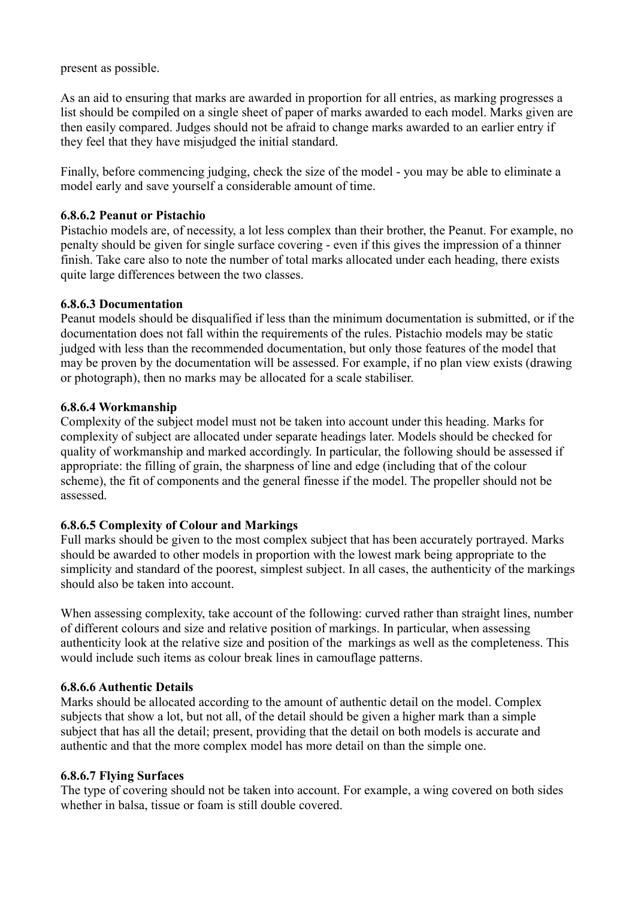present as possible.

As an aid to ensuring that marks are awarded in proportion for all entries, as marking progresses a list should be compiled on a single sheet of paper of marks awarded to each model. Marks given are then easily compared. Judges should not be afraid to change marks awarded to an earlier entry if they feel that they have misjudged the initial standard.

Finally, before commencing judging, check the size of the model - you may be able to eliminate a model early and save yourself a considerable amount of time.

# **6.8.6.2 Peanut or Pistachio**

Pistachio models are, of necessity, a lot less complex than their brother, the Peanut. For example, no penalty should be given for single surface covering - even if this gives the impression of a thinner finish. Take care also to note the number of total marks allocated under each heading, there exists quite large differences between the two classes.

# **6.8.6.3 Documentation**

Peanut models should be disqualified if less than the minimum documentation is submitted, or if the documentation does not fall within the requirements of the rules. Pistachio models may be static judged with less than the recommended documentation, but only those features of the model that may be proven by the documentation will be assessed. For example, if no plan view exists (drawing or photograph), then no marks may be allocated for a scale stabiliser.

# **6.8.6.4 Workmanship**

Complexity of the subject model must not be taken into account under this heading. Marks for complexity of subject are allocated under separate headings later. Models should be checked for quality of workmanship and marked accordingly. In particular, the following should be assessed if appropriate: the filling of grain, the sharpness of line and edge (including that of the colour scheme), the fit of components and the general finesse if the model. The propeller should not be assessed.

# **6.8.6.5 Complexity of Colour and Markings**

Full marks should be given to the most complex subject that has been accurately portrayed. Marks should be awarded to other models in proportion with the lowest mark being appropriate to the simplicity and standard of the poorest, simplest subject. In all cases, the authenticity of the markings should also be taken into account.

When assessing complexity, take account of the following: curved rather than straight lines, number of different colours and size and relative position of markings. In particular, when assessing authenticity look at the relative size and position of the markings as well as the completeness. This would include such items as colour break lines in camouflage patterns.

# **6.8.6.6 Authentic Details**

Marks should be allocated according to the amount of authentic detail on the model. Complex subjects that show a lot, but not all, of the detail should be given a higher mark than a simple subject that has all the detail; present, providing that the detail on both models is accurate and authentic and that the more complex model has more detail on than the simple one.

# **6.8.6.7 Flying Surfaces**

The type of covering should not be taken into account. For example, a wing covered on both sides whether in balsa, tissue or foam is still double covered.